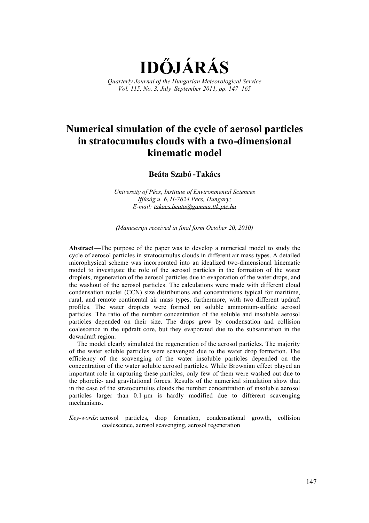**ID JÁRÁS** 

*Quarterly Journal of the Hungarian Meteorological Service Vol. 115, No. 3, JulySeptember 2011, pp. 147165* 

# **Numerical simulation of the cycle of aerosol particles in stratocumulus clouds with a two-dimensional kinematic model**

**Beáta Szabó -Takács** 

*University of Pécs, Institute of Environmental Sciences Ifjúság u. 6, H-7624 Pécs, Hungary; E-mail: [takacs.beata@gamma.ttk.pte.hu](mailto:takacs.beata@gamma.ttk.pte.hu)*

*(Manuscript received in final form October 20, 2010)* 

Abstract—The purpose of the paper was to develop a numerical model to study the cycle of aerosol particles in stratocumulus clouds in different air mass types. A detailed microphysical scheme was incorporated into an idealized two-dimensional kinematic model to investigate the role of the aerosol particles in the formation of the water droplets, regeneration of the aerosol particles due to evaporation of the water drops, and the washout of the aerosol particles. The calculations were made with different cloud condensation nuclei (CCN) size distributions and concentrations typical for maritime, rural, and remote continental air mass types, furthermore, with two different updraft profiles. The water droplets were formed on soluble ammonium-sulfate aerosol particles. The ratio of the number concentration of the soluble and insoluble aerosol particles depended on their size. The drops grew by condensation and collision coalescence in the updraft core, but they evaporated due to the subsaturation in the downdraft region.

The model clearly simulated the regeneration of the aerosol particles. The majority of the water soluble particles were scavenged due to the water drop formation. The efficiency of the scavenging of the water insoluble particles depended on the concentration of the water soluble aerosol particles. While Brownian effect played an important role in capturing these particles, only few of them were washed out due to the phoretic- and gravitational forces. Results of the numerical simulation show that in the case of the stratocumulus clouds the number concentration of insoluble aerosol particles larger than  $0.1 \mu m$  is hardly modified due to different scavenging mechanisms.

*Key-words*: aerosol particles, drop formation, condensational growth, collision coalescence, aerosol scavenging, aerosol regeneration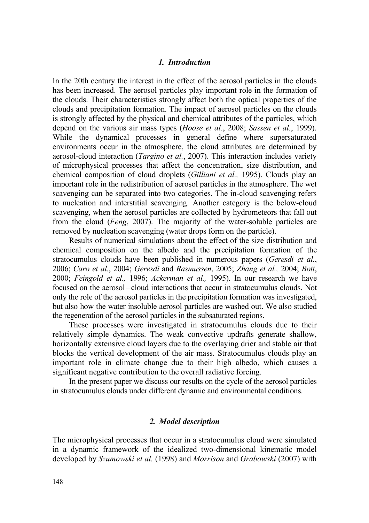#### *1. Introduction*

In the 20th century the interest in the effect of the aerosol particles in the clouds has been increased. The aerosol particles play important role in the formation of the clouds. Their characteristics strongly affect both the optical properties of the clouds and precipitation formation. The impact of aerosol particles on the clouds is strongly affected by the physical and chemical attributes of the particles, which depend on the various air mass types (*Hoose et al.*, 2008; *Sassen et al.*, 1999). While the dynamical processes in general define where supersaturated environments occur in the atmosphere, the cloud attributes are determined by aerosol-cloud interaction (*Targino et al.*, 2007). This interaction includes variety of microphysical processes that affect the concentration, size distribution, and chemical composition of cloud droplets (*Gilliani et al.,* 1995). Clouds play an important role in the redistribution of aerosol particles in the atmosphere. The wet scavenging can be separated into two categories. The in-cloud scavenging refers to nucleation and interstitial scavenging. Another category is the below-cloud scavenging, when the aerosol particles are collected by hydrometeors that fall out from the cloud (*Feng*, 2007). The majority of the water-soluble particles are removed by nucleation scavenging (water drops form on the particle).

Results of numerical simulations about the effect of the size distribution and chemical composition on the albedo and the precipitation formation of the stratocumulus clouds have been published in numerous papers (*Geresdi et al.*, 2006; *Caro et al.*, 2004; *Geresdi* and *Rasmussen*, 2005; *Zhang et al.,* 2004; *Bott*, 2000; *Feingold et al.,* 1996; *Ackerman et al.,* 1995). In our research we have focused on the aerosol-cloud interactions that occur in stratocumulus clouds. Not only the role of the aerosol particles in the precipitation formation was investigated, but also how the water insoluble aerosol particles are washed out. We also studied the regeneration of the aerosol particles in the subsaturated regions.

These processes were investigated in stratocumulus clouds due to their relatively simple dynamics. The weak convective updrafts generate shallow, horizontally extensive cloud layers due to the overlaying drier and stable air that blocks the vertical development of the air mass. Stratocumulus clouds play an important role in climate change due to their high albedo, which causes a significant negative contribution to the overall radiative forcing.

In the present paper we discuss our results on the cycle of the aerosol particles in stratocumulus clouds under different dynamic and environmental conditions.

## *2. Model description*

The microphysical processes that occur in a stratocumulus cloud were simulated in a dynamic framework of the idealized two-dimensional kinematic model developed by *Szumowski et al.* (1998) and *Morrison* and *Grabowski* (2007) with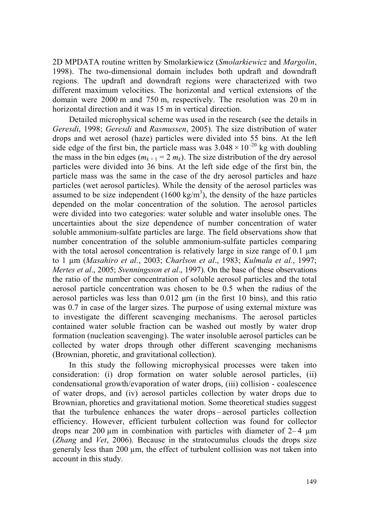2D MPDATA routine written by Smolarkiewicz (*Smolarkiewicz* and *Margolin*, 1998). The two-dimensional domain includes both updraft and downdraft regions. The updraft and downdraft regions were characterized with two different maximum velocities. The horizontal and vertical extensions of the domain were 2000 m and 750 m, respectively. The resolution was 20 m in horizontal direction and it was 15 m in vertical direction.

Detailed microphysical scheme was used in the research (see the details in *Geresdi*, 1998; *Geresdi* and *Rasmussen*, 2005). The size distribution of water drops and wet aerosol (haze) particles were divided into 55 bins. At the left side edge of the first bin, the particle mass was  $3.048 \times 10^{-20}$  kg with doubling the mass in the bin edges  $(m_{k+1} = 2 m_k)$ . The size distribution of the dry aerosol particles were divided into 36 bins. At the left side edge of the first bin, the particle mass was the same in the case of the dry aerosol particles and haze particles (wet aerosol particles). While the density of the aerosol particles was assumed to be size independent  $(1600 \text{ kg/m}^3)$ , the density of the haze particles depended on the molar concentration of the solution. The aerosol particles were divided into two categories: water soluble and water insoluble ones. The uncertainties about the size dependence of number concentration of water soluble ammonium-sulfate particles are large. The field observations show that number concentration of the soluble ammonium-sulfate particles comparing with the total aerosol concentration is relatively large in size range of 0.1  $\mu$ m to 1 µm (*Masahiro et al.*, 2003; *Charlson et al*., 1983; *Kulmala et al.*, 1997; *Mertes et al*., 2005; *Svenningsson et al*., 1997). On the base of these observations the ratio of the number concentration of soluble aerosol particles and the total aerosol particle concentration was chosen to be 0.5 when the radius of the aerosol particles was less than  $0.012 \mu m$  (in the first 10 bins), and this ratio was 0.7 in case of the larger sizes. The purpose of using external mixture was to investigate the different scavenging mechanisms. The aerosol particles contained water soluble fraction can be washed out mostly by water drop formation (nucleation scavenging). The water insoluble aerosol particles can be collected by water drops through other different scavenging mechanisms (Brownian, phoretic, and gravitational collection).

In this study the following microphysical processes were taken into consideration: (i) drop formation on water soluble aerosol particles, (ii) condensational growth/evaporation of water drops, (iii) collision - coalescence of water drops, and (iv) aerosol particles collection by water drops due to Brownian, phoretics and gravitational motion. Some theoretical studies suggest that the turbulence enhances the water drops-aerosol particles collection efficiency. However, efficient turbulent collection was found for collector drops near 200  $\mu$ m in combination with particles with diameter of 2–4  $\mu$ m (*Zhang* and *Vet*, 2006). Because in the stratocumulus clouds the drops size generaly less than 200 µm, the effect of turbulent collision was not taken into account in this study.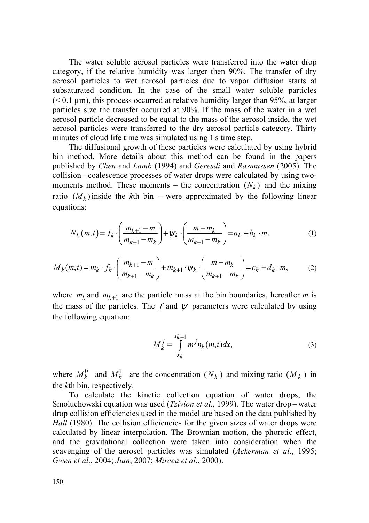The water soluble aerosol particles were transferred into the water drop category, if the relative humidity was larger then 90%. The transfer of dry aerosol particles to wet aerosol particles due to vapor diffusion starts at subsaturated condition. In the case of the small water soluble particles  $(< 0.1 \text{ }\mu\text{m})$ , this process occurred at relative humidity larger than 95%, at larger particles size the transfer occurred at 90%. If the mass of the water in a wet aerosol particle decreased to be equal to the mass of the aerosol inside, the wet aerosol particles were transferred to the dry aerosol particle category. Thirty minutes of cloud life time was simulated using 1 s time step.

The diffusional growth of these particles were calculated by using hybrid bin method. More details about this method can be found in the papers published by *Chen* and *Lamb* (1994) and *Geresdi* and *Rasmussen* (2005). The collision – coalescence processes of water drops were calculated by using twomoments method. These moments – the concentration  $(N_k)$  and the mixing ratio  $(M_k)$  inside the *k*th bin – were approximated by the following linear equations:

$$
N_k(m,t) = f_k \cdot \left(\frac{m_{k+1} - m}{m_{k+1} - m_k}\right) + \psi_k \cdot \left(\frac{m - m_k}{m_{k+1} - m_k}\right) = a_k + b_k \cdot m,\tag{1}
$$

$$
M_k(m,t) = m_k \cdot f_k \cdot \left(\frac{m_{k+1} - m}{m_{k+1} - m_k}\right) + m_{k+1} \cdot \psi_k \cdot \left(\frac{m - m_k}{m_{k+1} - m_k}\right) = c_k + d_k \cdot m,\tag{2}
$$

where  $m_k$  and  $m_{k+1}$  are the particle mass at the bin boundaries, hereafter *m* is the mass of the particles. The  $f$  and  $\psi$  parameters were calculated by using the following equation:

$$
M_k^j = \int_{x_k}^{x_{k+1}} m^j n_k(m, t) dx,
$$
 (3)

where  $M_k^0$  and  $M_k^1$  are the concentration  $(N_k)$  and mixing ratio  $(M_k)$  in the *k*th bin, respectively.

To calculate the kinetic collection equation of water drops, the Smoluchowski equation was used (*Tzivion et al.*, 1999). The water drop – water drop collision efficiencies used in the model are based on the data published by *Hall* (1980). The collision efficiencies for the given sizes of water drops were calculated by linear interpolation. The Brownian motion, the phoretic effect, and the gravitational collection were taken into consideration when the scavenging of the aerosol particles was simulated (*Ackerman et al*., 1995; *Gwen et al*., 2004; *Jian*, 2007; *Mircea et al*., 2000).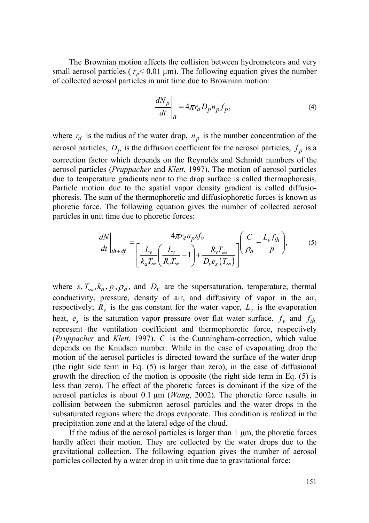The Brownian motion affects the collision between hydrometeors and very small aerosol particles ( $r_p$ < 0.01  $\mu$ m). The following equation gives the number of collected aerosol particles in unit time due to Brownian motion:

$$
\left. \frac{dN_p}{dt} \right|_B = 4\pi r_d D_p n_p f_p,\tag{4}
$$

where  $r_d$  is the radius of the water drop,  $n_p$  is the number concentration of the aerosol particles,  $D_p$  is the diffusion coefficient for the aerosol particles,  $f_p$  is a correction factor which depends on the Reynolds and Schmidt numbers of the aerosol particles (*Pruppacher* and *Klett*, 1997). The motion of aerosol particles due to temperature gradients near to the drop surface is called thermophoresis. Particle motion due to the spatial vapor density gradient is called diffusiophoresis. The sum of the thermophoretic and diffusiophoretic forces is known as phoretic force. The following equation gives the number of collected aerosol particles in unit time due to phoretic forces:

$$
\frac{dN}{dt}\Big|_{th+df} = \frac{4\pi r_d n_p s f_v}{\left[\frac{L_v}{k_a T_{\infty}} \left(\frac{L_v}{R_v T_{\infty}} - 1\right) + \frac{R_v T_{\infty}}{D_v e_s (T_{\infty})}\right]} \left(\frac{C}{\rho_a} - \frac{L_v f_{th}}{p}\right),\tag{5}
$$

where  $s, T_{\infty}, k_a, p, \rho_a$ , and  $D_v$  are the supersaturation, temperature, thermal conductivity, pressure, density of air, and diffusivity of vapor in the air, respectively;  $R_v$  is the gas constant for the water vapor,  $L_v$  is the evaporation heat,  $e_s$  is the saturation vapor pressure over flat water surface.  $f_v$  and  $f_{th}$ represent the ventilation coefficient and thermophoretic force, respectively (*Pruppacher* and *Klett*, 1997). *C* is the Cunningham-correction, which value depends on the Knudsen number. While in the case of evaporating drop the motion of the aerosol particles is directed toward the surface of the water drop (the right side term in Eq. (5) is larger than zero), in the case of diffusional growth the direction of the motion is opposite (the right side term in Eq. (5) is less than zero). The effect of the phoretic forces is dominant if the size of the aerosol particles is about 0.1 µm (*Wang*, 2002). The phoretic force results in collision between the submicron aerosol particles and the water drops in the subsaturated regions where the drops evaporate. This condition is realized in the precipitation zone and at the lateral edge of the cloud.

If the radius of the aerosol particles is larger than  $1 \mu m$ , the phoretic forces hardly affect their motion. They are collected by the water drops due to the gravitational collection. The following equation gives the number of aerosol particles collected by a water drop in unit time due to gravitational force: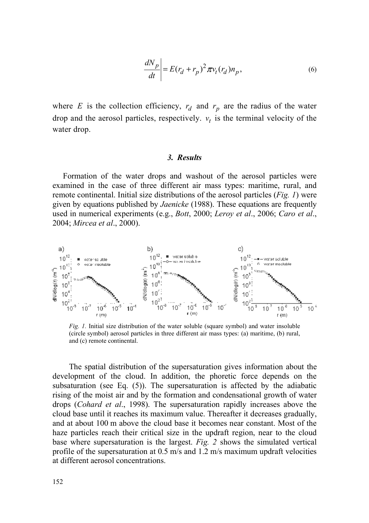$$
\left. \frac{dN_p}{dt} \right| = E(r_d + r_p)^2 \pi v_t(r_d) n_p,\tag{6}
$$

where *E* is the collection efficiency,  $r_d$  and  $r_p$  are the radius of the water drop and the aerosol particles, respectively.  $v_t$  is the terminal velocity of the water drop.

#### *3. Results*

Formation of the water drops and washout of the aerosol particles were examined in the case of three different air mass types: maritime, rural, and remote continental. Initial size distributions of the aerosol particles (*Fig. 1*) were given by equations published by *Jaenicke* (1988). These equations are frequently used in numerical experiments (e.g., *Bott*, 2000; *Leroy et al*., 2006; *Caro et al*., 2004; *Mircea et al*., 2000).



*Fig. 1.* Initial size distribution of the water soluble (square symbol) and water insoluble (circle symbol) aerosol particles in three different air mass types: (a) maritime, (b) rural, and (c) remote continental.

The spatial distribution of the supersaturation gives information about the development of the cloud. In addition, the phoretic force depends on the subsaturation (see Eq. (5)). The supersaturation is affected by the adiabatic rising of the moist air and by the formation and condensational growth of water drops (*Cohard et al*., 1998). The supersaturation rapidly increases above the cloud base until it reaches its maximum value. Thereafter it decreases gradually, and at about 100 m above the cloud base it becomes near constant. Most of the haze particles reach their critical size in the updraft region, near to the cloud base where supersaturation is the largest. *Fig. 2* shows the simulated vertical profile of the supersaturation at 0.5 m/s and 1.2 m/s maximum updraft velocities at different aerosol concentrations.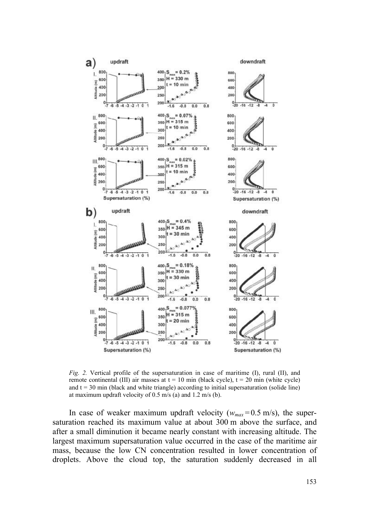

*Fig. 2.* Vertical profile of the supersaturation in case of maritime (I), rural (II), and remote continental (III) air masses at  $t = 10$  min (black cycle),  $t = 20$  min (white cycle) and  $t = 30$  min (black and white triangle) according to initial supersaturation (solide line) at maximum updraft velocity of 0.5 m/s (a) and 1.2 m/s (b).

In case of weaker maximum updraft velocity ( $w_{max}$  = 0.5 m/s), the supersaturation reached its maximum value at about 300 m above the surface, and after a small diminution it became nearly constant with increasing altitude. The largest maximum supersaturation value occurred in the case of the maritime air mass, because the low CN concentration resulted in lower concentration of droplets. Above the cloud top, the saturation suddenly decreased in all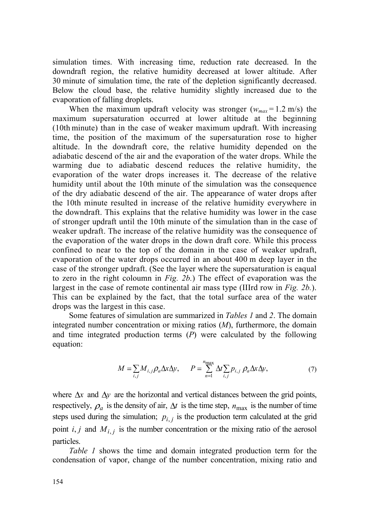simulation times. With increasing time, reduction rate decreased. In the downdraft region, the relative humidity decreased at lower altitude. After 30 minute of simulation time, the rate of the depletion significantly decreased. Below the cloud base, the relative humidity slightly increased due to the evaporation of falling droplets.

When the maximum updraft velocity was stronger  $(w_{max} = 1.2 \text{ m/s})$  the maximum supersaturation occurred at lower altitude at the beginning (10th minute) than in the case of weaker maximum updraft. With increasing time, the position of the maximum of the supersaturation rose to higher altitude. In the downdraft core, the relative humidity depended on the adiabatic descend of the air and the evaporation of the water drops. While the warming due to adiabatic descend reduces the relative humidity, the evaporation of the water drops increases it. The decrease of the relative humidity until about the 10th minute of the simulation was the consequence of the dry adiabatic descend of the air. The appearance of water drops after the 10th minute resulted in increase of the relative humidity everywhere in the downdraft. This explains that the relative humidity was lower in the case of stronger updraft until the 10th minute of the simulation than in the case of weaker updraft. The increase of the relative humidity was the consequence of the evaporation of the water drops in the down draft core. While this process confined to near to the top of the domain in the case of weaker updraft, evaporation of the water drops occurred in an about 400 m deep layer in the case of the stronger updraft. (See the layer where the supersaturation is eaqual to zero in the right coloumn in *Fig. 2b.*) The effect of evaporation was the largest in the case of remote continental air mass type (IIIrd row in *Fig. 2b.*). This can be explained by the fact, that the total surface area of the water drops was the largest in this case.

Some features of simulation are summarized in *Tables 1* and *2*. The domain integrated number concentration or mixing ratios (*M*), furthermore, the domain and time integrated production terms (*P*) were calculated by the following equation:

$$
M = \sum_{i,j} M_{i,j} \rho_a \Delta x \Delta y, \qquad P = \sum_{n=1}^{n_{\text{max}}} \Delta t \sum_{i,j} p_{i,j} \rho_a \Delta x \Delta y,\tag{7}
$$

where  $\Delta x$  and  $\Delta y$  are the horizontal and vertical distances between the grid points, respectively,  $\rho_a$  is the density of air,  $\Delta t$  is the time step,  $n_{\text{max}}$  is the number of time steps used during the simulation;  $p_{i,j}$  is the production term calculated at the grid point  $i, j$  and  $M_{i,j}$  is the number concentration or the mixing ratio of the aerosol particles.

*Table 1* shows the time and domain integrated production term for the condensation of vapor, change of the number concentration, mixing ratio and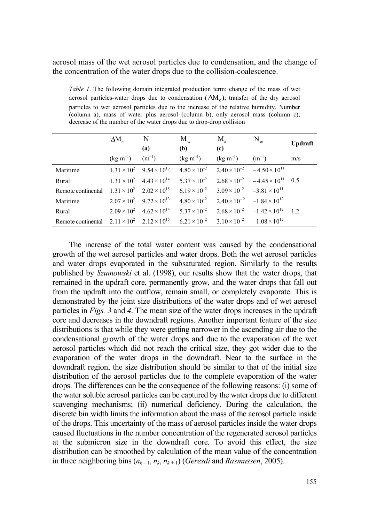aerosol mass of the wet aerosol particles due to condensation, and the change of the concentration of the water drops due to the collision-coalescence.

*Table 1*. The following domain integrated production term: change of the mass of wet aerosol particles-water drops due to condensation  $(\Delta M_c)$ ; transfer of the dry aerosol particles to wet aerosol particles due to the increase of the relative humidity. Number (column a), mass of water plus aerosol (column b), only aerosol mass (column c); decrease of the number of the water drops due to drop-drop collision

|                                                                                                                                | $\Delta M_c$                           | $\mathbf N$<br>(a) | $M_{w}$<br>( <b>b</b> )                                                                                       | $M_{\rm a}$<br>(c)                                          | $N_w$                                                                                                             | <b>Updraft</b> |
|--------------------------------------------------------------------------------------------------------------------------------|----------------------------------------|--------------------|---------------------------------------------------------------------------------------------------------------|-------------------------------------------------------------|-------------------------------------------------------------------------------------------------------------------|----------------|
|                                                                                                                                | $(\text{kg m}^{-1})$ $(\text{m}^{-1})$ |                    |                                                                                                               | $(\text{kg m}^{-1})$ $(\text{kg m}^{-1})$ $(\text{m}^{-1})$ |                                                                                                                   | m/s            |
| Maritime                                                                                                                       |                                        |                    | $1.31 \times 10^{2}$ $9.54 \times 10^{13}$ $4.80 \times 10^{-2}$ $2.40 \times 10^{-2}$ $-4.50 \times 10^{11}$ |                                                             |                                                                                                                   |                |
| Rural                                                                                                                          |                                        |                    |                                                                                                               |                                                             | $1.31 \times 10^{2}$ $4.43 \times 10^{14}$ $5.37 \times 10^{-2}$ $2.68 \times 10^{-2}$ $-4.45 \times 10^{11}$ 0.5 |                |
| Remote continental $1.31 \times 10^2$ $2.02 \times 10^{15}$ $6.19 \times 10^{-2}$ $3.09 \times 10^{-2}$ $-3.81 \times 10^{11}$ |                                        |                    |                                                                                                               |                                                             |                                                                                                                   |                |
| Maritime                                                                                                                       |                                        |                    | $2.07 \times 10^{2}$ $9.72 \times 10^{13}$ $4.80 \times 10^{-2}$ $2.40 \times 10^{-2}$ $-1.84 \times 10^{12}$ |                                                             |                                                                                                                   |                |
| Rural                                                                                                                          |                                        |                    |                                                                                                               |                                                             | $2.09 \times 10^{2}$ $4.62 \times 10^{14}$ $5.37 \times 10^{-2}$ $2.68 \times 10^{-2}$ $-1.42 \times 10^{12}$ 1.2 |                |
| Remote continental $2.11 \times 10^2$ $2.12 \times 10^{15}$ $6.21 \times 10^{-2}$ $3.10 \times 10^{-2}$ $-1.08 \times 10^{12}$ |                                        |                    |                                                                                                               |                                                             |                                                                                                                   |                |

The increase of the total water content was caused by the condensational growth of the wet aerosol particles and water drops. Both the wet aerosol particles and water drops evaporated in the subsaturated region. Similarly to the results published by *Szumowski* et al. (1998), our results show that the water drops, that remained in the updraft core, permanently grow, and the water drops that fall out from the updraft into the outflow, remain small, or completely evaporate. This is demonstrated by the joint size distributions of the water drops and of wet aerosol particles in *Figs. 3* and *4*. The mean size of the water drops increases in the updraft core and decreases in the downdraft regions. Another important feature of the size distributions is that while they were getting narrower in the ascending air due to the condensational growth of the water drops and due to the evaporation of the wet aerosol particles which did not reach the critical size, they got wider due to the evaporation of the water drops in the downdraft. Near to the surface in the downdraft region, the size distribution should be similar to that of the initial size distribution of the aerosol particles due to the complete evaporation of the water drops. The differences can be the consequence of the following reasons: (i) some of the water soluble aerosol particles can be captured by the water drops due to different scavenging mechanisms; (ii) numerical deficiency. During the calculation, the discrete bin width limits the information about the mass of the aerosol particle inside of the drops. This uncertainty of the mass of aerosol particles inside the water drops caused fluctuations in the number concentration of the regenerated aerosol particles at the submicron size in the downdraft core. To avoid this effect, the size distribution can be smoothed by calculation of the mean value of the concentration in three neighboring bins  $(n_{k-1}, n_k, n_{k+1})$  (*Geresdi* and *Rasmussen*, 2005).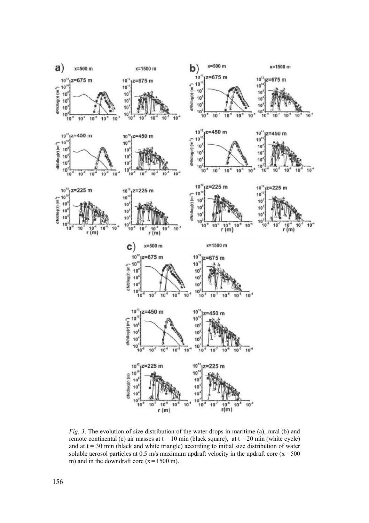

*Fig. 3*. The evolution of size distribution of the water drops in maritime (a), rural (b) and remote continental (c) air masses at  $t = 10$  min (black square), at  $t = 20$  min (white cycle) and at  $t = 30$  min (black and white triangle) according to initial size distribution of water soluble aerosol particles at 0.5 m/s maximum updraft velocity in the updraft core ( $x = 500$ ) m) and in the downdraft core  $(x = 1500 \text{ m})$ .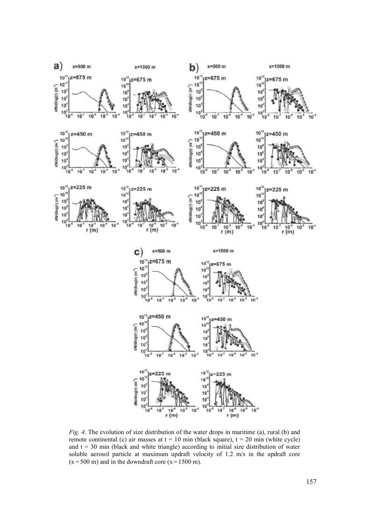

*Fig. 4*. The evolution of size distribution of the water drops in maritime (a), rural (b) and remote continental (c) air masses at  $t = 10$  min (black square),  $t = 20$  min (white cycle) and  $t = 30$  min (black and white triangle) according to initial size distribution of water soluble aerosol particle at maximum updraft velocity of 1.2 m/s in the updraft core  $(x = 500 \text{ m})$  and in the downdraft core  $(x = 1500 \text{ m})$ .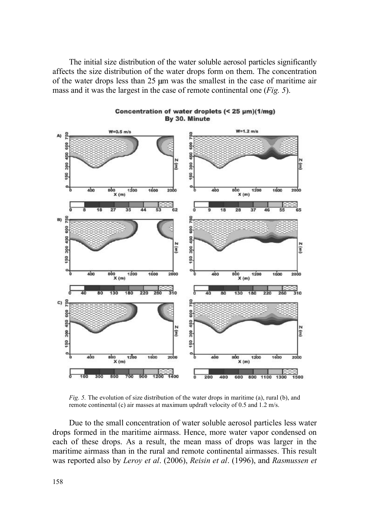The initial size distribution of the water soluble aerosol particles significantly affects the size distribution of the water drops form on them. The concentration of the water drops less than 25 µm was the smallest in the case of maritime air mass and it was the largest in the case of remote continental one (*Fig. 5*).



Concentration of water droplets (< 25 µm)(1/mg) By 30. Minute

*Fig. 5.* The evolution of size distribution of the water drops in maritime (a), rural (b), and remote continental (c) air masses at maximum updraft velocity of 0.5 and 1.2 m/s.

Due to the small concentration of water soluble aerosol particles less water drops formed in the maritime airmass. Hence, more water vapor condensed on each of these drops. As a result, the mean mass of drops was larger in the maritime airmass than in the rural and remote continental airmasses. This result was reported also by *Leroy et al*. (2006), *Reisin et al*. (1996), and *Rasmussen et*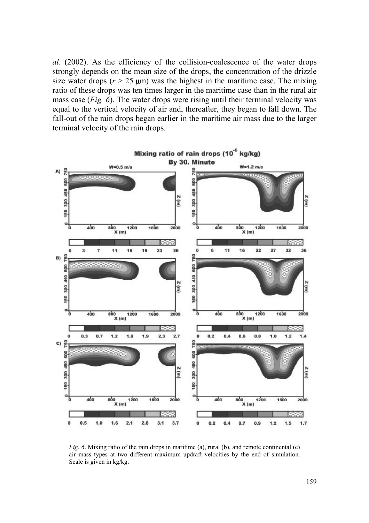*al*. (2002). As the efficiency of the collision-coalescence of the water drops strongly depends on the mean size of the drops, the concentration of the drizzle size water drops  $(r > 25 \text{ \mu m})$  was the highest in the maritime case. The mixing ratio of these drops was ten times larger in the maritime case than in the rural air mass case (*Fig. 6*). The water drops were rising until their terminal velocity was equal to the vertical velocity of air and, thereafter, they began to fall down. The fall-out of the rain drops began earlier in the maritime air mass due to the larger terminal velocity of the rain drops.



*Fig. 6*. Mixing ratio of the rain drops in maritime (a), rural (b), and remote continental (c) air mass types at two different maximum updraft velocities by the end of simulation. Scale is given in kg/kg.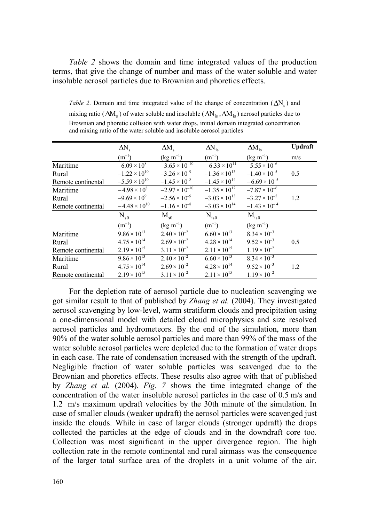*Table 2* shows the domain and time integrated values of the production terms, that give the change of number and mass of the water soluble and water insoluble aerosol particles due to Brownian and phoretics effects.

*Table 2*. Domain and time integrated value of the change of concentration  $(\Delta N_s)$  and mixing ratio ( $\Delta M_s$ ) of water soluble and insoluble ( $\Delta N_{is}$ ,  $\Delta M_{is}$ ) aerosol particles due to Brownian and phoretic collision with water drops, initial domain integrated concentration and mixing ratio of the water soluble and insoluble aerosol particles

|                    | $\Delta N_s$           | $\Delta M_s$            | $\Delta N$ <sub>is</sub> | $\Delta M$ <sub>is</sub> | <b>Updraft</b> |
|--------------------|------------------------|-------------------------|--------------------------|--------------------------|----------------|
|                    | $(m^{-1})$             | $(kg \, m^{-1})$        | $(m^{-1})$               | $(kg \, m^{-1})$         | m/s            |
| Maritime           | $-6.09 \times 10^8$    | $-3.65 \times 10^{-10}$ | $-6.33 \times 10^{11}$   | $-5.55 \times 10^{-6}$   |                |
| Rural              | $-1.22 \times 10^{10}$ | $-3.26 \times 10^{-9}$  | $-1.36 \times 10^{13}$   | $-1.40 \times 10^{-5}$   | 0.5            |
| Remote continental | $-5.59 \times 10^{10}$ | $-1.45 \times 10^{-8}$  | $-1.45 \times 10^{14}$   | $-6.69 \times 10^{-5}$   |                |
| Maritime           | $-4.98 \times 10^8$    | $-2.97 \times 10^{-10}$ | $-1.35 \times 10^{12}$   | $-7.87 \times 10^{-6}$   |                |
| Rural              | $-9.69 \times 10^{9}$  | $-2.56 \times 10^{-9}$  | $-3.03 \times 10^{13}$   | $-3.27 \times 10^{-5}$   | 1.2            |
| Remote continental | $-4.48 \times 10^{10}$ | $-1.16 \times 10^{-8}$  | $-3.03 \times 10^{14}$   | $-1.43 \times 10^{-4}$   |                |
|                    | $\rm N_{\rm s0}$       | $M_{s0}$                | $N_{is0}$                | $M_{is0}$                |                |
|                    | $(m^{-1})$             | $(kg \, m^{-1})$        | $(m^{-1})$               | $(kg \, m^{-1})$         |                |
| Maritime           | $9.86 \times 10^{13}$  | $2.40 \times 10^{-2}$   | $6.60 \times 10^{13}$    | $8.34 \times 10^{-3}$    |                |
| Rural              | $4.75 \times 10^{14}$  | $2.69 \times 10^{-2}$   | $4.28 \times 10^{14}$    | $9.52 \times 10^{-3}$    | 0.5            |
| Remote continental | $2.19 \times 10^{15}$  | $3.11 \times 10^{-2}$   | $2.11 \times 10^{15}$    | $1.19 \times 10^{-2}$    |                |
| Maritime           | $9.86 \times 10^{13}$  | $2.40 \times 10^{-2}$   | $6.60 \times 10^{13}$    | $8.34 \times 10^{-3}$    |                |
| Rural              | $4.75 \times 10^{14}$  | $2.69 \times 10^{-2}$   | $4.28 \times 10^{14}$    | $9.52 \times 10^{-3}$    | 1.2            |
| Remote continental | $2.19 \times 10^{15}$  | $3.11 \times 10^{-2}$   | $2.11 \times 10^{15}$    | $1.19 \times 10^{-2}$    |                |

For the depletion rate of aerosol particle due to nucleation scavenging we got similar result to that of published by *Zhang et al.* (2004). They investigated aerosol scavenging by low-level, warm stratiform clouds and precipitation using a one-dimensional model with detailed cloud microphysics and size resolved aerosol particles and hydrometeors. By the end of the simulation, more than 90% of the water soluble aerosol particles and more than 99% of the mass of the water soluble aerosol particles were depleted due to the formation of water drops in each case. The rate of condensation increased with the strength of the updraft. Negligible fraction of water soluble particles was scavenged due to the Brownian and phoretics effects. These results also agree with that of published by *Zhang et al.* (2004). *Fig. 7* shows the time integrated change of the concentration of the water insoluble aerosol particles in the case of 0.5 m/s and 1.2 m/s maximum updraft velocities by the 30th minute of the simulation. In case of smaller clouds (weaker updraft) the aerosol particles were scavenged just inside the clouds. While in case of larger clouds (stronger updraft) the drops collected the particles at the edge of clouds and in the downdraft core too. Collection was most significant in the upper divergence region. The high collection rate in the remote continental and rural airmass was the consequence of the larger total surface area of the droplets in a unit volume of the air.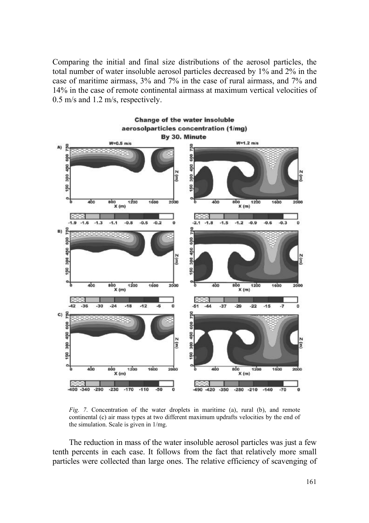Comparing the initial and final size distributions of the aerosol particles, the total number of water insoluble aerosol particles decreased by 1% and 2% in the case of maritime airmass, 3% and 7% in the case of rural airmass, and 7% and 14% in the case of remote continental airmass at maximum vertical velocities of 0.5 m/s and 1.2 m/s, respectively.



*Fig. 7*. Concentration of the water droplets in maritime (a), rural (b), and remote continental (c) air mass types at two different maximum updrafts velocities by the end of the simulation. Scale is given in 1/mg.

The reduction in mass of the water insoluble aerosol particles was just a few tenth percents in each case. It follows from the fact that relatively more small particles were collected than large ones. The relative efficiency of scavenging of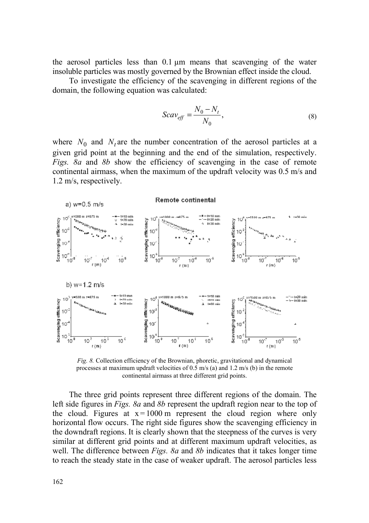the aerosol particles less than 0.1 µm means that scavenging of the water insoluble particles was mostly governed by the Brownian effect inside the cloud.

To investigate the efficiency of the scavenging in different regions of the domain, the following equation was calculated:

$$
Scav_{eff} = \frac{N_0 - N_t}{N_0},\tag{8}
$$

where  $N_0$  and  $N_t$  are the number concentration of the aerosol particles at a given grid point at the beginning and the end of the simulation, respectively. *Figs. 8a* and *8b* show the efficiency of scavenging in the case of remote continental airmass, when the maximum of the updraft velocity was 0.5 m/s and 1.2 m/s, respectively.



*Fig. 8.* Collection efficiency of the Brownian, phoretic, gravitational and dynamical processes at maximum updraft velocities of 0.5 m/s (a) and 1.2 m/s (b) in the remote continental airmass at three different grid points.

The three grid points represent three different regions of the domain. The left side figures in *Figs. 8a* and *8b* represent the updraft region near to the top of the cloud. Figures at  $x = 1000$  m represent the cloud region where only horizontal flow occurs. The right side figures show the scavenging efficiency in the downdraft regions. It is clearly shown that the steepness of the curves is very similar at different grid points and at different maximum updraft velocities, as well. The difference between *Figs. 8a* and *8b* indicates that it takes longer time to reach the steady state in the case of weaker updraft. The aerosol particles less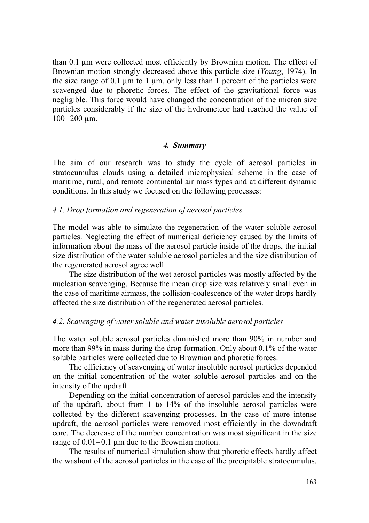than 0.1 µm were collected most efficiently by Brownian motion. The effect of Brownian motion strongly decreased above this particle size (*Young*, 1974). In the size range of 0.1  $\mu$ m to 1  $\mu$ m, only less than 1 percent of the particles were scavenged due to phoretic forces. The effect of the gravitational force was negligible. This force would have changed the concentration of the micron size particles considerably if the size of the hydrometeor had reached the value of  $100 - 200$  µm.

## *4. Summary*

The aim of our research was to study the cycle of aerosol particles in stratocumulus clouds using a detailed microphysical scheme in the case of maritime, rural, and remote continental air mass types and at different dynamic conditions. In this study we focused on the following processes:

## *4.1. Drop formation and regeneration of aerosol particles*

The model was able to simulate the regeneration of the water soluble aerosol particles. Neglecting the effect of numerical deficiency caused by the limits of information about the mass of the aerosol particle inside of the drops, the initial size distribution of the water soluble aerosol particles and the size distribution of the regenerated aerosol agree well.

The size distribution of the wet aerosol particles was mostly affected by the nucleation scavenging. Because the mean drop size was relatively small even in the case of maritime airmass, the collision-coalescence of the water drops hardly affected the size distribution of the regenerated aerosol particles.

## *4.2. Scavenging of water soluble and water insoluble aerosol particles*

The water soluble aerosol particles diminished more than 90% in number and more than 99% in mass during the drop formation. Only about 0.1% of the water soluble particles were collected due to Brownian and phoretic forces.

The efficiency of scavenging of water insoluble aerosol particles depended on the initial concentration of the water soluble aerosol particles and on the intensity of the updraft.

Depending on the initial concentration of aerosol particles and the intensity of the updraft, about from 1 to 14% of the insoluble aerosol particles were collected by the different scavenging processes. In the case of more intense updraft, the aerosol particles were removed most efficiently in the downdraft core. The decrease of the number concentration was most significant in the size range of  $0.01 - 0.1$  um due to the Brownian motion.

The results of numerical simulation show that phoretic effects hardly affect the washout of the aerosol particles in the case of the precipitable stratocumulus.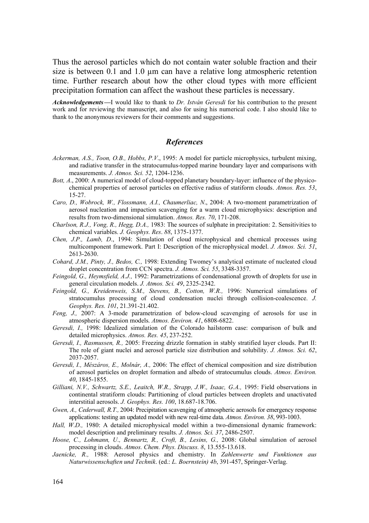Thus the aerosol particles which do not contain water soluble fraction and their size is between 0.1 and 1.0 µm can have a relative long atmospheric retention time. Further research about how the other cloud types with more efficient precipitation formation can affect the washout these particles is necessary.

*Acknowledgements*—I would like to thank to *Dr. István Geresdi* for his contribution to the present work and for reviewing the manuscript, and also for using his numerical code. I also should like to thank to the anonymous reviewers for their comments and suggestions.

#### *References*

- *Ackerman, A.S., Toon, O.B., Hobbs, P.V*., 1995: A model for particle microphysics, turbulent mixing, and radiative transfer in the stratocumulus-topped marine boundary layer and comparisons with measurements. *J. Atmos. Sci. 52*, 1204-1236.
- *Bott, A*., 2000: A numerical model of cloud-topped planetary boundary-layer: influence of the physicochemical properties of aerosol particles on effective radius of statiform clouds. *Atmos. Res. 53*, 15-27.
- *Caro, D., Wobrock, W., Flossmann, A.I., Chaumerliac, N*., 2004: A two-moment parametrization of aerosol nucleation and impaction scavenging for a warm cloud microphysics: description and results from two-dimensional simulation. *Atmos. Res. 70*, 171-208.
- *Charlson, R.J., Vong, R., Hegg, D.A.,* 1983: The sources of sulphate in precipitation: 2. Sensitivities to chemical variables. *J. Geophys. Res*. *88*, 1375-1377.
- *Chen, J.P., Lamb, D*., 1994: Simulation of cloud microphysical and chemical processes using multicomponent framework. Part I: Description of the microphysical model. *J. Atmos. Sci. 51*, 2613-2630.
- *Cohard, J.M., Pinty, J., Bedos, C., 1998: Extending Twomey's analytical estimate of nucleated cloud* droplet concentration from CCN spectra. *J. Atmos. Sci. 55*, 3348-3357.
- *Feingold, G., Heymsfield, A.J.,* 1992: Parametrizations of condensational growth of droplets for use in general circulation models. *J. Atmos. Sci. 49*, 2325-2342.
- *Feingold, G., Kreidenweis, S.M., Stevens, B., Cotton, W.R.,* 1996: Numerical simulations of stratocumulus processing of cloud condensation nuclei through collision-coalescence. *J. Geophys. Res. 101*, 21.391-21.402.
- *Feng, J.,* 2007: A 3-mode parametrization of below-cloud scavenging of aerosols for use in atmospheric dispersion models. *Atmos. Environ. 41*, 6808-6822.
- *Geresdi, I.,* 1998: Idealized simulation of the Colorado hailstorm case: comparison of bulk and detailed microphysics. *Atmos. Res. 45*, 237-252.
- *Geresdi, I., Rasmussen, R.,* 2005: Freezing drizzle formation in stably stratified layer clouds. Part II: The role of giant nuclei and aerosol particle size distribution and solubility. *J. Atmos. Sci. 62*, 2037-2057.
- *Geresdi, I., Mészáros, E., Molnár, A.,* 2006: The effect of chemical composition and size distribution of aerosol particles on droplet formation and albedo of stratocumulus clouds. *Atmos. Environ. 40*, 1845-1855.
- *Gilliani, N.V., Schwartz, S.E., Leaitch, W.R., Strapp, J.W., Isaac, G.A.,* 1995: Field observations in continental stratiform clouds: Partitioning of cloud particles between droplets and unactivated interstitial aerosols. *J. Geophys. Res. 100*, 18.687-18.706.
- *Gwen, A., Cederwall, R.T.,* 2004: Precipitation scavenging of atmospheric aerosols for emergency response applications: testing an updated model with new real-time data. *Atmos. Environ. 38*, 993-1003.
- *Hall, W.D.,* 1980: A detailed microphysical model within a two-dimensional dynamic framework: model description and preliminary results. *J. Atmos. Sci. 37*, 2486-2507.
- *Hoose, C., Lohmann, U., Bennartz, R., Croft, B., Lesins, G.,* 2008: Global simulation of aerosol processing in clouds. *Atmos. Chem. Phys. Discuss. 8*, 13.555-13.618.
- *Jaenicke, R.,* 1988: Aerosol physics and chemistry. In *Zahlenwerte und Funktionen aus Naturwissenschaften und Technik*. (ed.: *L. Boernstein) 4b*, 391-457, Springer-Verlag.